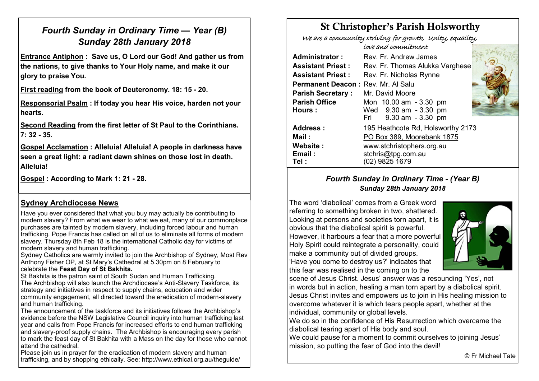## *Fourth Sunday in Ordinary Time — Year (B) Sunday 28th January 2018*

**Entrance Antiphon : Save us, O Lord our God! And gather us from the nations, to give thanks to Your Holy name, and make it our glory to praise You.**

**First reading from the book of Deuteronomy. 18: 15 - 20.**

**Responsorial Psalm : If today you hear His voice, harden not your hearts.**

**Second Reading from the first letter of St Paul to the Corinthians. 7: 32 - 35.**

**Gospel Acclamation : Alleluia! Alleluia! A people in darkness have seen a great light: a radiant dawn shines on those lost in death. Alleluia!**

**Gospel : According to Mark 1: 21 - 28.**

## **Sydney Archdiocese News**

Have you ever considered that what you buy may actually be contributing to modern slavery? From what we wear to what we eat, many of our commonplace purchases are tainted by modern slavery, including forced labour and human trafficking. Pope Francis has called on all of us to eliminate all forms of modern slavery. Thursday 8th Feb 18 is the international Catholic day for victims of modern slavery and human trafficking.

Sydney Catholics are warmly invited to join the Archbishop of Sydney, Most Rev Anthony Fisher OP, at St Mary's Cathedral at 5.30pm on 8 February to

#### celebrate the **Feast Day of St Bakhita.**

St Bakhita is the patron saint of South Sudan and Human Trafficking. The Archbishop will also launch the Archdiocese's Anti-Slavery Taskforce, its strategy and initiatives in respect to supply chains, education and wider community engagement, all directed toward the eradication of modern-slavery and human trafficking.

The announcement of the taskforce and its initiatives follows the Archbishop's evidence before the NSW Legislative Council inquiry into human trafficking last year and calls from Pope Francis for increased efforts to end human trafficking and slavery-proof supply chains. The Archbishop is encouraging every parish to mark the feast day of St Bakhita with a Mass on the day for those who cannot attend the cathedral.

Please join us in prayer for the eradication of modern slavery and human trafficking, and by shopping ethically. See: http://www.ethical.org.au/theguide/

# St Christopher's Parish Holsworthy

 We are a community striving for growth, Unity, equality, love and commitment

|                                    | COVO DIVODI ODVICINOCIVOLI DE                                            |  |  |  |
|------------------------------------|--------------------------------------------------------------------------|--|--|--|
| Administrator:                     | Rev. Fr. Andrew James                                                    |  |  |  |
| <b>Assistant Priest:</b>           | Rev. Fr. Thomas Alukka Varghese                                          |  |  |  |
| <b>Assistant Priest:</b>           | Rev. Fr. Nicholas Rynne                                                  |  |  |  |
| Permanent Deacon: Rev. Mr. Al Salu |                                                                          |  |  |  |
| <b>Parish Secretary:</b>           | Mr. David Moore                                                          |  |  |  |
| <b>Parish Office</b><br>Hours:     | Mon 10.00 am - 3.30 pm<br>Wed 9.30 am - 3.30 pm<br>Fri 9.30 am - 3.30 pm |  |  |  |
| <b>Address:</b>                    | 195 Heathcote Rd, Holsworthy 2173                                        |  |  |  |
| Mail :                             | PO Box 389, Moorebank 1875                                               |  |  |  |
| <b>Website :</b><br>Email:<br>Tel: | www.stchristophers.org.au<br>stchris@tpg.com.au<br>(02) 9825 1679        |  |  |  |

## *Fourth Sunday in Ordinary Time - (Year B) Sunday 28th January 2018*

The word 'diabolical' comes from a Greek word referring to something broken in two, shattered. Looking at persons and societies torn apart, it is obvious that the diabolical spirit is powerful. However, it harbours a fear that a more powerful Holy Spirit could reintegrate a personality, could make a community out of divided groups. 'Have you come to destroy us?' indicates that this fear was realised in the coming on to the



scene of Jesus Christ. Jesus' answer was a resounding 'Yes', not in words but in action, healing a man torn apart by a diabolical spirit. Jesus Christ invites and empowers us to join in His healing mission to overcome whatever it is which tears people apart, whether at the individual, community or global levels.

We do so in the confidence of His Resurrection which overcame the diabolical tearing apart of His body and soul.

We could pause for a moment to commit ourselves to joining Jesus' mission, so putting the fear of God into the devil!

© Fr Michael Tate